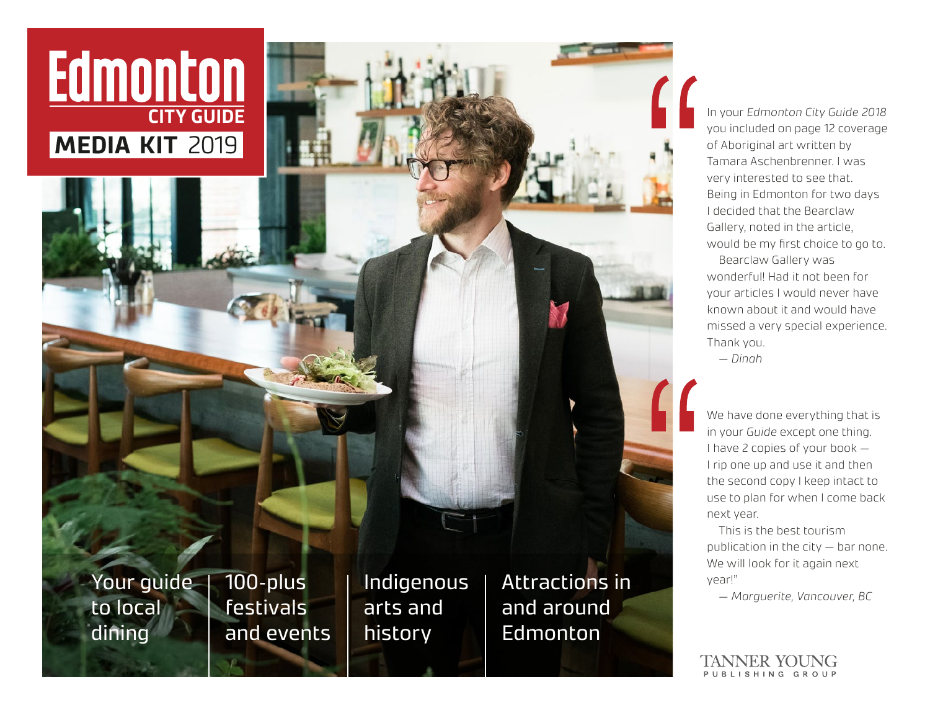# Edmonton **MEDIA KIT** 2019

Your guide to local dining

100-plus festivals and events Indigenous arts and history

Attractions in and around Edmonton

In your *Edmonton City Guide 2018* you included on page 12 coverage of Aboriginal art written by Tamara Aschenbrenner. I was very interested to see that. Being in Edmonton for two days I decided that the Bearclaw Gallery, noted in the article, would be my first choice to go to.

Bearclaw Gallery was wonderful! Had it not been for your articles I would never have known about it and would have missed a very special experience. Thank you. *— Dinah*

We have done everything that is in your *Guide* except one thing. I have 2 copies of your book — I rip one up and use it and then the second copy I keep intact to use to plan for when I come back next year.

This is the best tourism publication in the city — bar none. We will look for it again next year!"

*— Marguerite, Vancouver, BC*

TANNER YOUNG PUBLISHING GROUP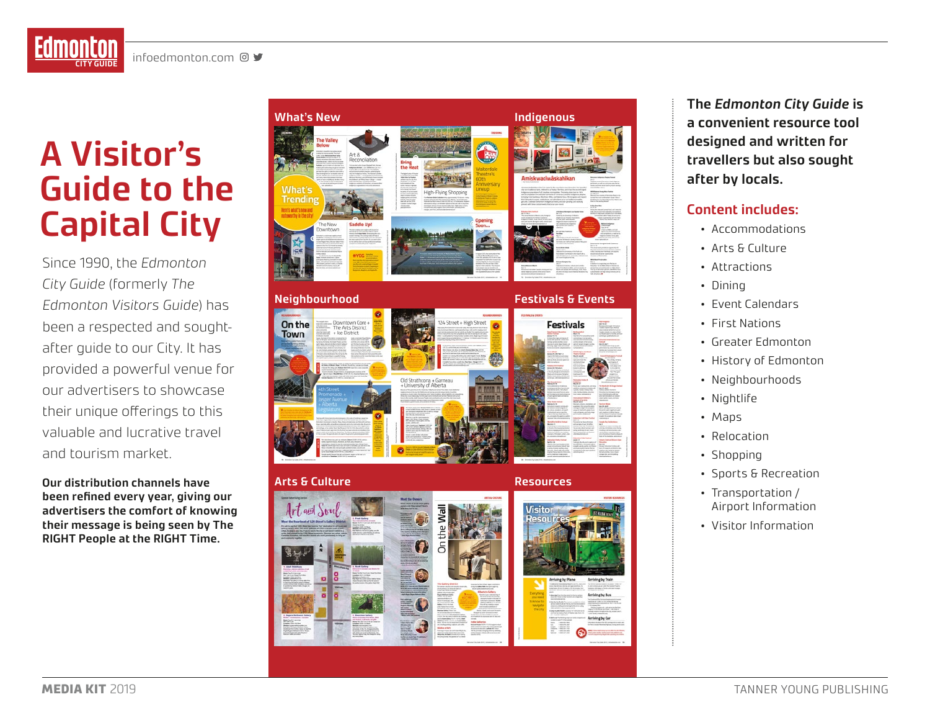# **A Visitor's Guide to the Capital City**

Since 1990, the *Edmonton City Guide* (formerly *The Edmonton Visitors Guide*) has been a respected and soughtafter guide to our City. It has provided a powerful venue for our advertisers to showcase their unique offerings to this valuable and lucrative travel and tourism market.

**Our distribution channels have been refined every year, giving our advertisers the comfort of knowing their message is being seen by The RIGHT People at the RIGHT Time.**



**The** *Edmonton City Guide* **is a convenient resource tool designed and written for travellers but also sought after by locals.** 

#### **Content includes:**

- Accommodations
- Arts & Culture
- 
- 
- 
- 
- 
- Attractions<br>• Dining<br>• Event Calendars<br>• First Nations<br>• Greater Edmonton<br>• History of Edmonton
- Neighbourhoods
- Nightlife Maps
- 
- Relocation
- 
- Shopping<br>• Sports & Recreation
- Transportation / Airport Information
- Visitor Information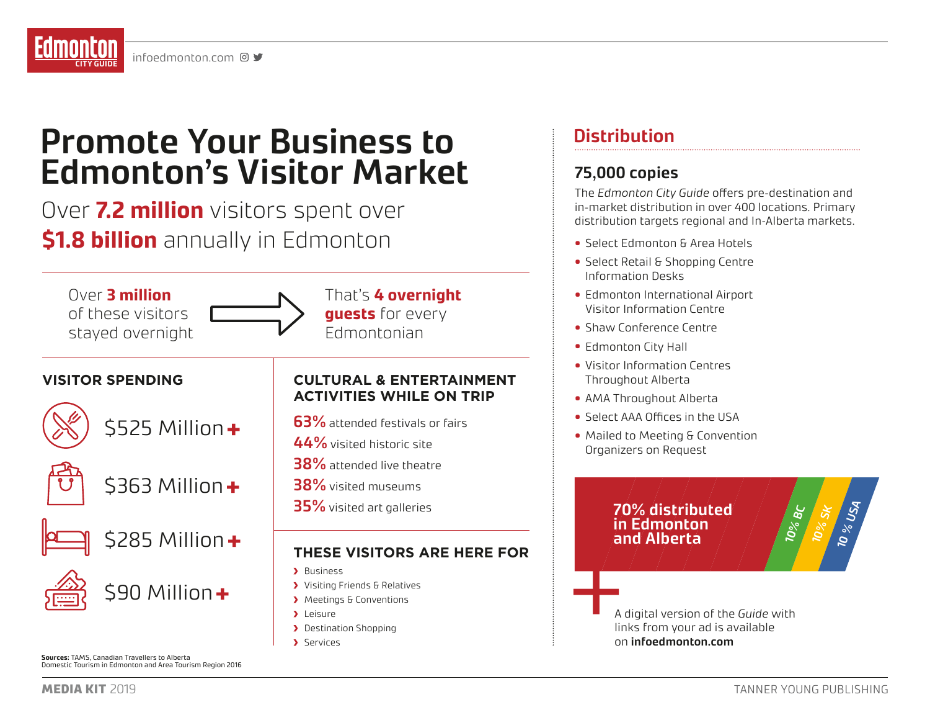## **Promote Your Business to Edmonton's Visitor Market**

Over **7.2 million** visitors spent over **\$1.8 billion** annually in Edmonton



**Sources:** TAMS, Canadian Travellers to Alberta Domestic Tourism in Edmonton and Area Tourism Region 2016

### **Distribution**

### **75,000 copies**

The *Edmonton City Guide* offers pre-destination and in-market distribution in over 400 locations. Primary distribution targets regional and In-Alberta markets.

- Select Edmonton & Area Hotels
- Select Retail & Shopping Centre Information Desks
- Edmonton International Airport Visitor Information Centre
- Shaw Conference Centre
- Edmonton City Hall
- Visitor Information Centres Throughout Alberta
- AMA Throughout Alberta
- Select AAA Offices in the USA
- Mailed to Meeting & Convention Organizers on Request

### 70% distributed<br>in Edmonton<br>and Alberta **in Edmonton**

links from your ad is available on **infoedmonton.com**

**10% SK**

**10 % USA**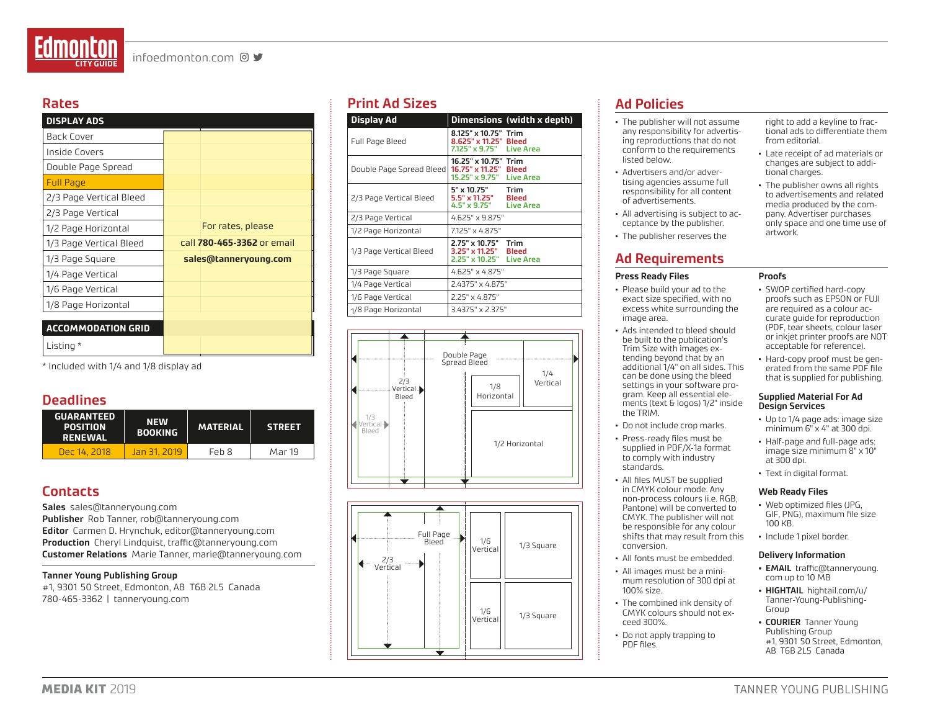#### **Rates**

| <b>DISPLAY ADS</b>        |                            |
|---------------------------|----------------------------|
| <b>Back Cover</b>         |                            |
| Inside Covers             |                            |
| Double Page Spread        |                            |
| <b>Full Page</b>          |                            |
| 2/3 Page Vertical Bleed   |                            |
| 2/3 Page Vertical         |                            |
| 1/2 Page Horizontal       | For rates, please          |
| 1/3 Page Vertical Bleed   | call 780-465-3362 or email |
| 1/3 Page Square           | sales@tanneryoung.com      |
| 1/4 Page Vertical         |                            |
| 1/6 Page Vertical         |                            |
| 1/8 Page Horizontal       |                            |
|                           |                            |
| <b>ACCOMMODATION GRID</b> |                            |
| Listing *                 |                            |

\* Included with 1/4 and 1/8 display ad

#### **Deadlines**

| <b>GUARANTEED</b><br><b>POSITION</b><br><b>RENEWAL</b> | <b>NEW</b><br><b>BOOKING</b> | <b>MATERIAL</b> | <b>STREET</b> |
|--------------------------------------------------------|------------------------------|-----------------|---------------|
| Dec 14, 2018                                           | <u>Jan 31, 2019.</u>         | Feb 8           | Mar 19        |

#### **Contacts**

**Sales** sales@tanneryoung.com **Publisher** Rob Tanner, rob@tanneryoung.com **Editor** Carmen D. Hrynchuk, editor@tanneryoung.com **Production** Cheryl Lindquist, traffic@tanneryoung.com **Customer Relations** Marie Tanner, marie@tanneryoung.com

#### **Tanner Young Publishing Group**

#1, 9301 50 Street, Edmonton, AB T6B 2L5 Canada 780-465-3362 | tanneryoung.com

#### **Print Ad Sizes**

| <b>Display Ad</b>        |                                                                           | Dimensions (width x depth) |  |
|--------------------------|---------------------------------------------------------------------------|----------------------------|--|
| Full Page Bleed          | 8.125" x 10.75" Trim<br>8.625" x 11.25" Bleed<br>7.125" x 9.75" Live Area |                            |  |
| Double Page Spread Bleed | 16.25" x 10.75" Trim<br>16.75" x 11.25" Bleed<br>15.25" x 9.75" Live Area |                            |  |
| 2/3 Page Vertical Bleed  | 5" x 10.75"<br>5.5" x 11.25" Bleed<br>4.5" x 9.75" Live Area              | Trim                       |  |
| 2/3 Page Vertical        | 4.625" x 9.875"                                                           |                            |  |
| 1/2 Page Horizontal      | 7.125" x 4.875"                                                           |                            |  |
| 1/3 Page Vertical Bleed  | 2.75" x 10.75"<br>3.25" x 11.25" Bleed<br>2.25" x 10.25" Live Area        | Trim                       |  |
| 1/3 Page Square          | $4.625" \times 4.875"$                                                    |                            |  |
| 1/4 Page Vertical        | 2.4375" x 4.875"                                                          |                            |  |
| 1/6 Page Vertical        | 2.25" x 4.875"                                                            |                            |  |
| 1/8 Page Horizontal      | 3.4375" x 2.375"                                                          |                            |  |





#### **Ad Policies**

- The publisher will not assume any responsibility for advertising reproductions that do not conform to the requirements listed below.
- Advertisers and/or advertising agencies assume full responsibility for all content of advertisements.
- All advertising is subject to acceptance by the publisher.
- The publisher reserves the

#### **Ad Requirements**

#### **Press Ready Files**

- Please build your ad to the exact size specified, with no excess white surrounding the image area.
- Ads intended to bleed should be built to the publication's Trim Size with images extending beyond that by an additional 1/4" on all sides. This can be done using the bleed settings in your software program. Keep all essential elements (text & logos) 1/2" inside the TRIM.
- Do not include crop marks.
- Press-ready files must be supplied in PDF/X-1a format to comply with industry standards.
- All files MUST be supplied in CMYK colour mode. Any non-process colours (i.e. RGB, Pantone) will be converted to CMYK. The publisher will not be responsible for any colour shifts that may result from this conversion.
- All fonts must be embedded.
- All images must be a minimum resolution of 300 dpi at 100% size.
- The combined ink density of CMYK colours should not exceed 300%.
- Do not apply trapping to PDF files.

right to add a keyline to fractional ads to differentiate them from editorial.

- Late receipt of ad materials or changes are subject to additional charges.
- The publisher owns all rights to advertisements and related media produced by the company. Advertiser purchases only space and one time use of artwork.
- SWOP certified hard-copy proofs such as EPSON or FUJI are required as a colour accurate guide for reproduction (PDF, tear sheets, colour laser or inkjet printer proofs are NOT acceptable for reference).
- Hard-copy proof must be generated from the same PDF file that is supplied for publishing.

#### **Supplied Material For Ad Design Services**

- Up to 1/4 page ads: image size minimum 6" x 4" at 300 dpi.
- Half-page and full-page ads: image size minimum 8" x 10" at 300 dpi.
- Text in digital format.

#### **Web Ready Files**

- Web optimized files (JPG, GIF, PNG), maximum file size 100 KB.
- Include 1 pixel border.

#### **Delivery Information**

- **• EMAIL** traffic@tanneryoung. com up to 10 MB
- **• HIGHTAIL** hightail.com/u/ Tanner-Young-Publishing-Group
- **• COURIER** Tanner Young Publishing Group #1, 9301 50 Street, Edmonton, AB T6B 2L5 Canada

**Proofs**